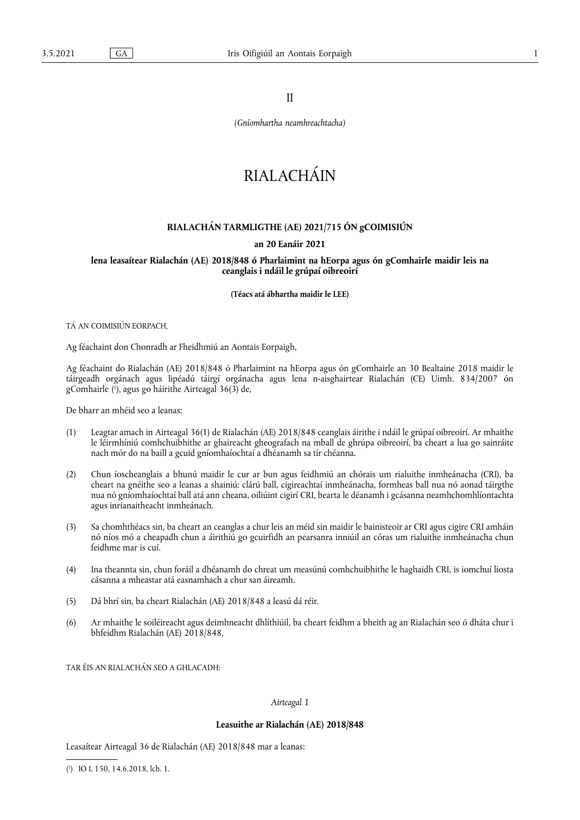II

*(Gníomhartha neamhreachtacha)*

# RIAI ACHÁIN

## **RIALACHÁN TARMLIGTHE (AE) 2021/715 ÓN gCOIMISIÚN**

### **an 20 Eanáir 2021**

**lena leasaítear Rialachán (AE) 2018/848 ó Pharlaimint na hEorpa agus ón gComhairle maidir leis na ceanglais i ndáil le grúpaí oibreoirí** 

**(Téacs atá ábhartha maidir le LEE)** 

TÁ AN COIMISIÚN EORPACH,

Ag féachaint don Chonradh ar Fheidhmiú an Aontais Eorpaigh,

<span id="page-0-1"></span>Ag féachaint do Rialachán (AE) 2018/848 ó Pharlaimint na hEorpa agus ón gComhairle an 30 Bealtaine 2018 maidir le táirgeadh orgánach agus lipéadú táirgí orgánacha agus lena n-aisghairtear Rialachán (CE) Uimh. 834/2007 ón gComhairle [\(](#page-0-0) 1 ), agus go háirithe Airteagal 36(3) de,

De bharr an mhéid seo a leanas:

- (1) Leagtar amach in Airteagal 36(1) de Rialachán (AE) 2018/848 ceanglais áirithe i ndáil le grúpaí oibreoirí. Ar mhaithe le léirmhíniú comhchuibhithe ar ghaireacht gheografach na mball de ghrúpa oibreoirí, ba cheart a lua go sainráite nach mór do na baill a gcuid gníomhaíochtaí a dhéanamh sa tír chéanna.
- (2) Chun íoscheanglais a bhunú maidir le cur ar bun agus feidhmiú an chórais um rialuithe inmheánacha (CRI), ba cheart na gnéithe seo a leanas a shainiú: clárú ball, cigireachtaí inmheánacha, formheas ball nua nó aonad táirgthe nua nó gníomhaíochtaí ball atá ann cheana, oiliúint cigirí CRI, bearta le déanamh i gcásanna neamhchomhlíontachta agus inrianaitheacht inmheánach.
- (3) Sa chomhthéacs sin, ba cheart an ceanglas a chur leis an méid sin maidir le bainisteoir ar CRI agus cigire CRI amháin nó níos mó a cheapadh chun a áirithiú go gcuirfidh an pearsanra inniúil an córas um rialuithe inmheánacha chun feidhme mar is cuí.
- (4) Ina theannta sin, chun foráil a dhéanamh do chreat um measúnú comhchuibhithe le haghaidh CRI, is iomchuí liosta cásanna a mheastar atá easnamhach a chur san áireamh.
- (5) Dá bhrí sin, ba cheart Rialachán (AE) 2018/848 a leasú dá réir.
- (6) Ar mhaithe le soiléireacht agus deimhneacht dhlíthiúil, ba cheart feidhm a bheith ag an Rialachán seo ó dháta chur i bhfeidhm Rialachán (AE) 2018/848,

TAR ÉIS AN RIALACHÁN SEO A GHLACADH:

#### *Airteagal 1*

#### **Leasuithe ar Rialachán (AE) 2018/848**

Leasaítear Airteagal 36 de Rialachán (AE) 2018/848 mar a leanas:

<span id="page-0-0"></span>[\(](#page-0-1) 1 ) IO L 150, 14.6.2018, lch. 1.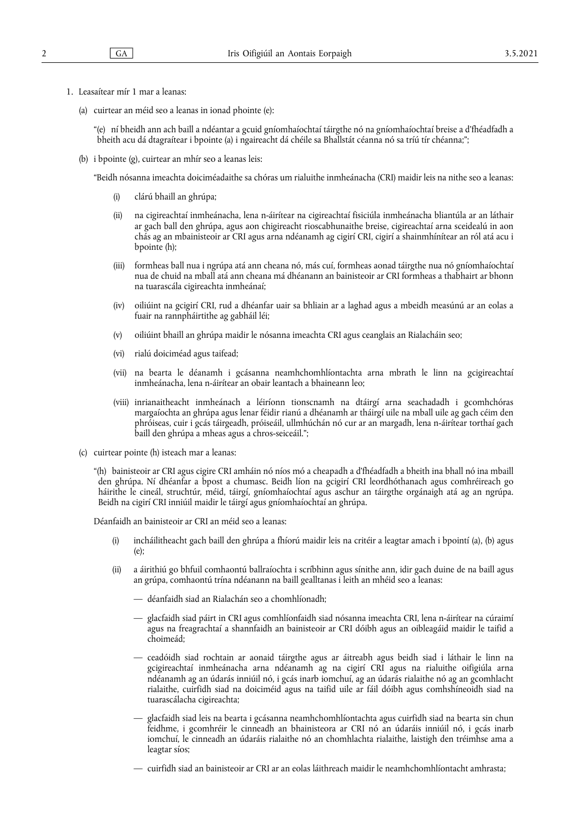- 1. Leasaítear mír 1 mar a leanas:
	- (a) cuirtear an méid seo a leanas in ionad phointe (e):

"(e) ní bheidh ann ach baill a ndéantar a gcuid gníomhaíochtaí táirgthe nó na gníomhaíochtaí breise a d'fhéadfadh a bheith acu dá dtagraítear i bpointe (a) i ngaireacht dá chéile sa Bhallstát céanna nó sa tríú tír chéanna;";

(b) i bpointe (g), cuirtear an mhír seo a leanas leis:

"Beidh nósanna imeachta doiciméadaithe sa chóras um rialuithe inmheánacha (CRI) maidir leis na nithe seo a leanas:

- (i) clárú bhaill an ghrúpa;
- (ii) na cigireachtaí inmheánacha, lena n-áirítear na cigireachtaí fisiciúla inmheánacha bliantúla ar an láthair ar gach ball den ghrúpa, agus aon chigireacht rioscabhunaithe breise, cigireachtaí arna sceidealú in aon chás ag an mbainisteoir ar CRI agus arna ndéanamh ag cigirí CRI, cigirí a shainmhínítear an ról atá acu i bpointe (h);
- (iii) formheas ball nua i ngrúpa atá ann cheana nó, más cuí, formheas aonad táirgthe nua nó gníomhaíochtaí nua de chuid na mball atá ann cheana má dhéanann an bainisteoir ar CRI formheas a thabhairt ar bhonn na tuarascála cigireachta inmheánaí;
- (iv) oiliúint na gcigirí CRI, rud a dhéanfar uair sa bhliain ar a laghad agus a mbeidh measúnú ar an eolas a fuair na rannpháirtithe ag gabháil léi;
- (v) oiliúint bhaill an ghrúpa maidir le nósanna imeachta CRI agus ceanglais an Rialacháin seo;
- (vi) rialú doiciméad agus taifead;
- (vii) na bearta le déanamh i gcásanna neamhchomhlíontachta arna mbrath le linn na gcigireachtaí inmheánacha, lena n-áirítear an obair leantach a bhaineann leo;
- (viii) inrianaitheacht inmheánach a léiríonn tionscnamh na dtáirgí arna seachadadh i gcomhchóras margaíochta an ghrúpa agus lenar féidir rianú a dhéanamh ar tháirgí uile na mball uile ag gach céim den phróiseas, cuir i gcás táirgeadh, próiseáil, ullmhúchán nó cur ar an margadh, lena n-áirítear torthaí gach baill den ghrúpa a mheas agus a chros-seiceáil.";
- (c) cuirtear pointe (h) isteach mar a leanas:

"(h) bainisteoir ar CRI agus cigire CRI amháin nó níos mó a cheapadh a d'fhéadfadh a bheith ina bhall nó ina mbaill den ghrúpa. Ní dhéanfar a bpost a chumasc. Beidh líon na gcigirí CRI leordhóthanach agus comhréireach go háirithe le cineál, struchtúr, méid, táirgí, gníomhaíochtaí agus aschur an táirgthe orgánaigh atá ag an ngrúpa. Beidh na cigirí CRI inniúil maidir le táirgí agus gníomhaíochtaí an ghrúpa.

Déanfaidh an bainisteoir ar CRI an méid seo a leanas:

- (i) incháilitheacht gach baill den ghrúpa a fhíorú maidir leis na critéir a leagtar amach i bpointí (a), (b) agus (e);
- (ii) a áirithiú go bhfuil comhaontú ballraíochta i scríbhinn agus sínithe ann, idir gach duine de na baill agus an grúpa, comhaontú trína ndéanann na baill gealltanas i leith an mhéid seo a leanas:
	- déanfaidh siad an Rialachán seo a chomhlíonadh;
	- glacfaidh siad páirt in CRI agus comhlíonfaidh siad nósanna imeachta CRI, lena n-áirítear na cúraimí agus na freagrachtaí a shannfaidh an bainisteoir ar CRI dóibh agus an oibleagáid maidir le taifid a choimeád;
	- ceadóidh siad rochtain ar aonaid táirgthe agus ar áitreabh agus beidh siad i láthair le linn na gcigireachtaí inmheánacha arna ndéanamh ag na cigirí CRI agus na rialuithe oifigiúla arna ndéanamh ag an údarás inniúil nó, i gcás inarb iomchuí, ag an údarás rialaithe nó ag an gcomhlacht rialaithe, cuirfidh siad na doiciméid agus na taifid uile ar fáil dóibh agus comhshíneoidh siad na tuarascálacha cigireachta;
	- glacfaidh siad leis na bearta i gcásanna neamhchomhlíontachta agus cuirfidh siad na bearta sin chun feidhme, i gcomhréir le cinneadh an bhainisteora ar CRI nó an údaráis inniúil nó, i gcás inarb iomchuí, le cinneadh an údaráis rialaithe nó an chomhlachta rialaithe, laistigh den tréimhse ama a leagtar síos;
	- cuirfidh siad an bainisteoir ar CRI ar an eolas láithreach maidir le neamhchomhlíontacht amhrasta;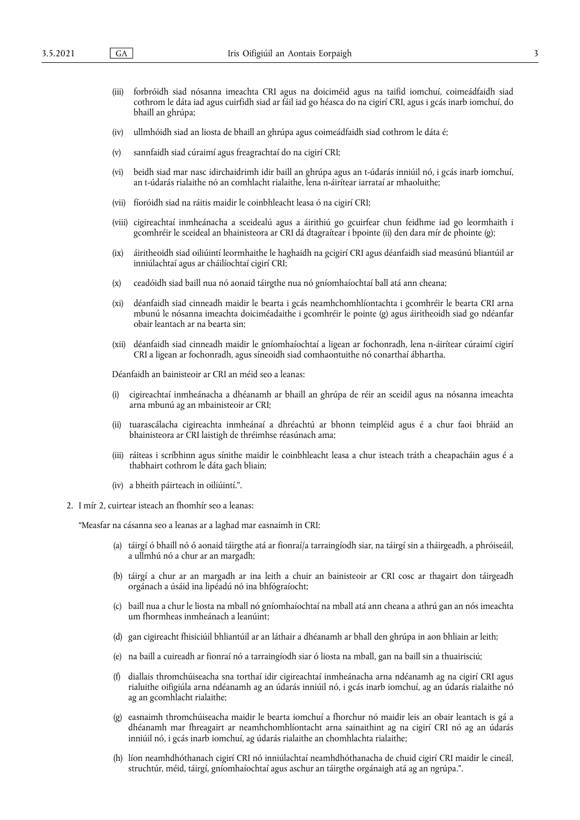- (iii) forbróidh siad nósanna imeachta CRI agus na doiciméid agus na taifid iomchuí, coimeádfaidh siad cothrom le dáta iad agus cuirfidh siad ar fáil iad go héasca do na cigirí CRI, agus i gcás inarb iomchuí, do bhaill an ghrúpa;
- (iv) ullmhóidh siad an liosta de bhaill an ghrúpa agus coimeádfaidh siad cothrom le dáta é;
- (v) sannfaidh siad cúraimí agus freagrachtaí do na cigirí CRI;
- (vi) beidh siad mar nasc idirchaidrimh idir baill an ghrúpa agus an t-údarás inniúil nó, i gcás inarb iomchuí, an t-údarás rialaithe nó an comhlacht rialaithe, lena n-áirítear iarrataí ar mhaoluithe;
- (vii) fíoróidh siad na ráitis maidir le coinbhleacht leasa ó na cigirí CRI;
- (viii) cigireachtaí inmheánacha a sceidealú agus a áirithiú go gcuirfear chun feidhme iad go leormhaith i gcomhréir le sceideal an bhainisteora ar CRI dá dtagraítear i bpointe (ii) den dara mír de phointe (g);
- (ix) áiritheoidh siad oiliúintí leormhaithe le haghaidh na gcigirí CRI agus déanfaidh siad measúnú bliantúil ar inniúlachtaí agus ar cháilíochtaí cigirí CRI;
- (x) ceadóidh siad baill nua nó aonaid táirgthe nua nó gníomhaíochtaí ball atá ann cheana;
- (xi) déanfaidh siad cinneadh maidir le bearta i gcás neamhchomhlíontachta i gcomhréir le bearta CRI arna mbunú le nósanna imeachta doiciméadaithe i gcomhréir le pointe (g) agus áiritheoidh siad go ndéanfar obair leantach ar na bearta sin;
- (xii) déanfaidh siad cinneadh maidir le gníomhaíochtaí a ligean ar fochonradh, lena n-áirítear cúraimí cigirí CRI a ligean ar fochonradh, agus síneoidh siad comhaontuithe nó conarthaí ábhartha.

Déanfaidh an bainisteoir ar CRI an méid seo a leanas:

- (i) cigireachtaí inmheánacha a dhéanamh ar bhaill an ghrúpa de réir an sceidil agus na nósanna imeachta arna mbunú ag an mbainisteoir ar CRI;
- (ii) tuarascálacha cigireachta inmheánaí a dhréachtú ar bhonn teimpléid agus é a chur faoi bhráid an bhainisteora ar CRI laistigh de thréimhse réasúnach ama;
- (iii) ráiteas i scríbhinn agus sínithe maidir le coinbhleacht leasa a chur isteach tráth a cheapacháin agus é a thabhairt cothrom le dáta gach bliain;
- (iv) a bheith páirteach in oiliúintí.".
- 2. I mír 2, cuirtear isteach an fhomhír seo a leanas:

"Measfar na cásanna seo a leanas ar a laghad mar easnaimh in CRI:

- (a) táirgí ó bhaill nó ó aonaid táirgthe atá ar fionraí/a tarraingíodh siar, na táirgí sin a tháirgeadh, a phróiseáil, a ullmhú nó a chur ar an margadh;
- (b) táirgí a chur ar an margadh ar ina leith a chuir an bainisteoir ar CRI cosc ar thagairt don táirgeadh orgánach a úsáid ina lipéadú nó ina bhfógraíocht;
- (c) baill nua a chur le liosta na mball nó gníomhaíochtaí na mball atá ann cheana a athrú gan an nós imeachta um fhormheas inmheánach a leanúint;
- (d) gan cigireacht fhisiciúil bhliantúil ar an láthair a dhéanamh ar bhall den ghrúpa in aon bhliain ar leith;
- (e) na baill a cuireadh ar fionraí nó a tarraingíodh siar ó liosta na mball, gan na baill sin a thuairisciú;
- (f) diallais thromchúiseacha sna torthaí idir cigireachtaí inmheánacha arna ndéanamh ag na cigirí CRI agus rialuithe oifigiúla arna ndéanamh ag an údarás inniúil nó, i gcás inarb iomchuí, ag an údarás rialaithe nó ag an gcomhlacht rialaithe;
- (g) easnaimh thromchúiseacha maidir le bearta iomchuí a fhorchur nó maidir leis an obair leantach is gá a dhéanamh mar fhreagairt ar neamhchomhlíontacht arna sainaithint ag na cigirí CRI nó ag an údarás inniúil nó, i gcás inarb iomchuí, ag údarás rialaithe an chomhlachta rialaithe;
- (h) líon neamhdhóthanach cigirí CRI nó inniúlachtaí neamhdhóthanacha de chuid cigirí CRI maidir le cineál, struchtúr, méid, táirgí, gníomhaíochtaí agus aschur an táirgthe orgánaigh atá ag an ngrúpa.".